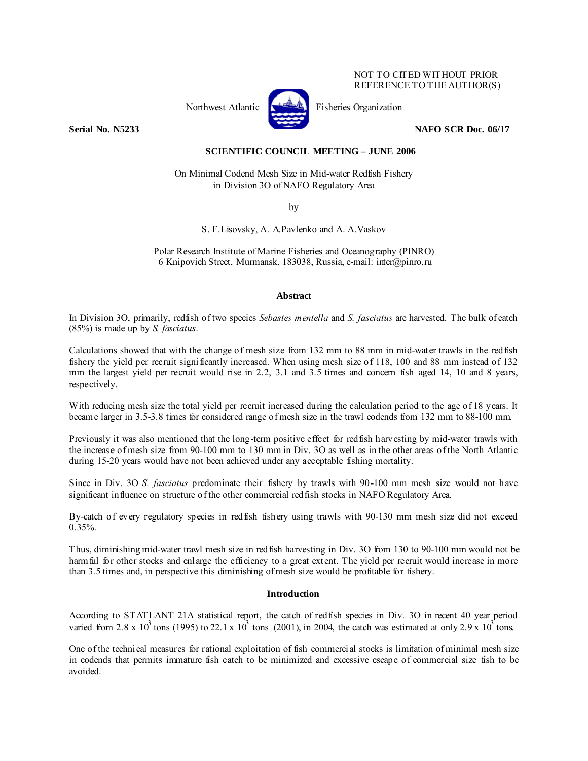# NOT TO CITED WITHOUT PRIOR REFERENCE TO THE AUTHOR(S)



Northwest Atlantic **Kernet** Fisheries Organization

**Serial No. N5233** NAFO SCR Doc. 06/17

# **SCIENTIFIC COUNCIL MEETING – JUNE 2006**

On Minimal Codend Mesh Size in Mid-water Redfish Fishery in Division 3O of NAFO Regulatory Area

by

S. F.Lisovsky, A. A.Pavlenko and A. A.Vaskov

Polar Research Institute of Marine Fisheries and Oceanography (PINRO) 6 Knipovich Street, Murmansk, 183038, Russia, e-mail: inter@pinro.ru

# **Abstract**

In Division 3O, primarily, redfish of two species *Sebastes mentella* and *S. fasciatus* are harvested. The bulk of catch (85%) is made up by *S. fasciatus*.

Calculations showed that with the change of mesh size from 132 mm to 88 mm in mid-water trawls in the redfish fishery the yield per recruit significantly increased. When using mesh size of 118, 100 and 88 mm instead of 132 mm the largest yield per recruit would rise in 2.2, 3.1 and 3.5 times and concern fish aged 14, 10 and 8 years, respectively.

With reducing mesh size the total yield per recruit increased during the calculation period to the age of 18 years. It became larger in 3.5-3.8 times for considered range of mesh size in the trawl codends from 132 mm to 88-100 mm.

Previously it was also mentioned that the long-term positive effect for redfish harvesting by mid-water trawls with the increase of mesh size from 90-100 mm to 130 mm in Div. 3O as well as in the other areas of the North Atlantic during 15-20 years would have not been achieved under any acceptable fishing mortality.

Since in Div. 3O *S. fasciatus* predominate their fishery by trawls with 90-100 mm mesh size would not have significant influence on structure of the other commercial redfish stocks in NAFO Regulatory Area.

By-catch of every regulatory species in redfish fishery using trawls with 90-130 mm mesh size did not exceed  $0.35\%$ .

Thus, diminishing mid-water trawl mesh size in redfish harvesting in Div. 3O from 130 to 90-100 mm would not be harm ful for other stocks and enlarge the efficiency to a great extent. The yield per recruit would increase in more than 3.5 times and, in perspective this diminishing of mesh size would be profitable for fishery.

# **Introduction**

According to STATLANT 21A statistical report, the catch of redfish species in Div. 3O in recent 40 year period varied from 2.8 x 10<sup>3</sup> tons (1995) to 22.1 x 10<sup>3</sup> tons (2001), in 2004, the catch was estimated at only 2.9 x 10<sup>3</sup> tons.

One of the technical measures for rational exploitation of fish commercial stocks is limitation of minimal mesh size in codends that permits immature fish catch to be minimized and excessive escape of commercial size fish to be avoided.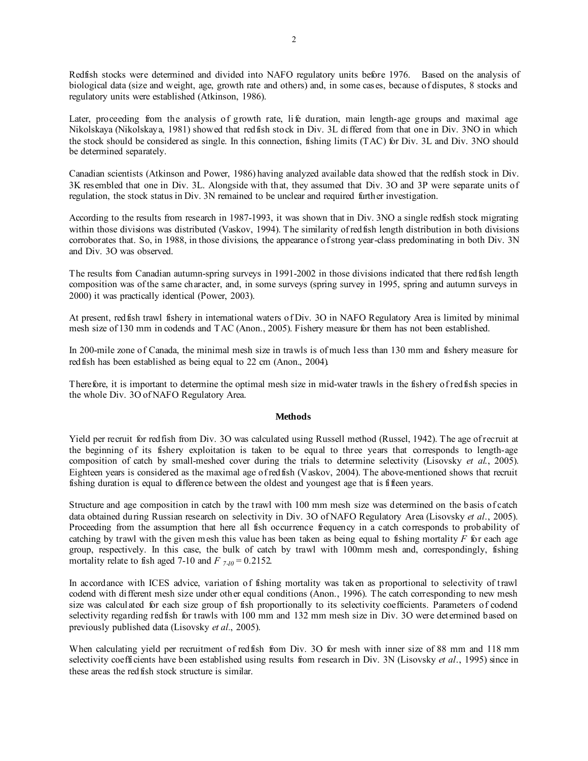Redfish stocks were determined and divided into NAFO regulatory units before 1976. Based on the analysis of biological data (size and weight, age, growth rate and others) and, in some cases, because of disputes, 8 stocks and regulatory units were established (Atkinson, 1986).

Later, proceeding from the analysis of growth rate, life duration, main length-age groups and maximal age Nikolskaya (Nikolskaya, 1981) showed that redfish stock in Div. 3L differed from that one in Div. 3NO in which the stock should be considered as single. In this connection, fishing limits (TAC) for Div. 3L and Div. 3NO should be determined separately.

Canadian scientists (Atkinson and Power, 1986) having analyzed available data showed that the redfish stock in Div. 3K resembled that one in Div. 3L. Alongside with that, they assumed that Div. 3O and 3P were separate units of regulation, the stock status in Div. 3N remained to be unclear and required further investigation.

According to the results from research in 1987-1993, it was shown that in Div. 3NO a single redfish stock migrating within those divisions was distributed (Vaskov, 1994). The similarity of red fish length distribution in both divisions corroborates that. So, in 1988, in those divisions, the appearance of strong year-class predominating in both Div. 3N and Div. 3O was observed.

The results from Canadian autumn-spring surveys in 1991-2002 in those divisions indicated that there redfish length composition was of the same character, and, in some surveys (spring survey in 1995, spring and autumn surveys in 2000) it was practically identical (Power, 2003).

At present, redfish trawl fishery in international waters of Div. 3O in NAFO Regulatory Area is limited by minimal mesh size of 130 mm in codends and TAC (Anon., 2005). Fishery measure for them has not been established.

In 200-mile zone of Canada, the minimal mesh size in trawls is of much less than 130 mm and fishery measure for redfish has been established as being equal to 22 cm (Anon., 2004).

Therefore, it is important to determine the optimal mesh size in mid-water trawls in the fishery of redfish species in the whole Div. 3O of NAFO Regulatory Area.

# **Methods**

Yield per recruit for redfish from Div. 3O was calculated using Russell method (Russel, 1942). The age of recruit at the beginning of its fishery exploitation is taken to be equal to three years that corresponds to length-age composition of catch by small-meshed cover during the trials to determine selectivity (Lisovsky *et al*., 2005). Eighteen years is considered as the maximal age of redfish (Vaskov, 2004). The above-mentioned shows that recruit fishing duration is equal to difference between the oldest and youngest age that is fifteen years.

Structure and age composition in catch by the trawl with 100 mm mesh size was determined on the basis of catch data obtained during Russian research on selectivity in Div. 3O of NAFO Regulatory Area (Lisovsky *et al*., 2005). Proceeding from the assumption that here all fish occurrence frequency in a catch corresponds to probability of catching by trawl with the given mesh this value has been taken as being equal to fishing mortality *F* for each age group, respectively. In this case, the bulk of catch by trawl with 100mm mesh and, correspondingly, fishing mortality relate to fish aged 7-10 and  $F_{7,10} = 0.2152$ .

In accordance with ICES advice, variation of fishing mortality was taken as proportional to selectivity of trawl codend with different mesh size under other equal conditions (Anon., 1996). The catch corresponding to new mesh size was calculated for each size group of fish proportionally to its selectivity coefficients. Parameters of codend selectivity regarding redfish for trawls with 100 mm and 132 mm mesh size in Div. 3O were determined based on previously published data (Lisovsky *et al.*, 2005).

When calculating yield per recruitment of redfish from Div. 3O for mesh with inner size of 88 mm and 118 mm selectivity coefficients have been established using results from research in Div. 3N (Lisovsky *et al*., 1995) since in these areas the redfish stock structure is similar.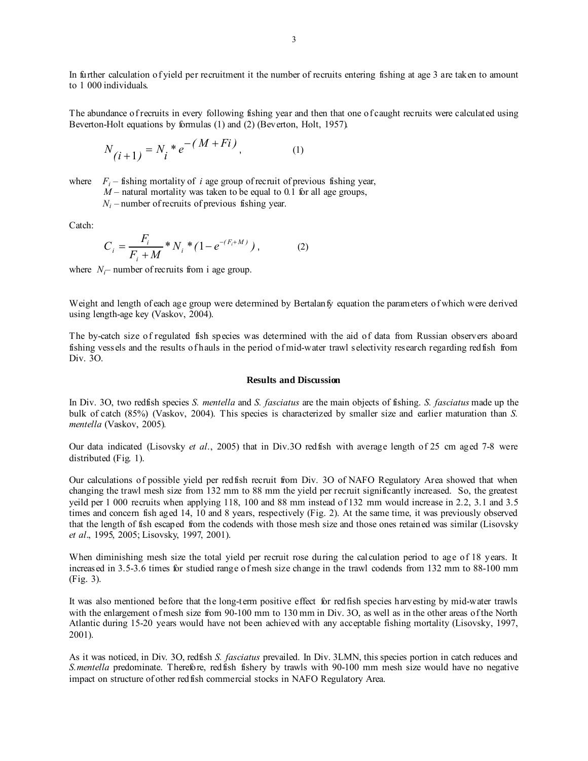In further calculation of yield per recruitment it the number of recruits entering fishing at age 3 are taken to amount to 1 000 individuals.

The abundance of recruits in every following fishing year and then that one of caught recruits were calculated using Beverton-Holt equations by formulas (1) and (2) (Beverton, Holt, 1957).

$$
N_{(i+1)} = N_i * e^{-(M + Fi)}, \tag{1}
$$

where  $F_i$  – fishing mortality of *i* age group of recruit of previous fishing year,

 $M$  – natural mortality was taken to be equal to 0.1 for all age groups,

 $N_i$  – number of recruits of previous fishing year.

Catch:

$$
C_i = \frac{F_i}{F_i + M} * N_i * (1 - e^{-(F_i + M)}) , \qquad (2)
$$

where  $N_i$ – number of recruits from i age group.

Weight and length of each age group were determined by Bertalan fy equation the parameters of which were derived using length-age key (Vaskov, 2004).

The by-catch size of regulated fish species was determined with the aid of data from Russian observers aboard fishing vessels and the results of hauls in the period of mid-water trawl selectivity research regarding redfish from Div. 3O.

#### **Results and Discussion**

In Div. 3O, two redfish species *S. mentella* and *S. fasciatus* are the main objects of fishing. *S. fasciatus* made up the bulk of catch (85%) (Vaskov, 2004). This species is characterized by smaller size and earlier maturation than *S. mentella* (Vaskov, 2005)*.*

Our data indicated (Lisovsky *et al*., 2005) that in Div.3O redfish with average length of 25 cm aged 7-8 were distributed (Fig. 1).

Our calculations of possible yield per redfish recruit from Div. 3O of NAFO Regulatory Area showed that when changing the trawl mesh size from 132 mm to 88 mm the yield per recruit significantly increased. So, the greatest yeild per 1 000 recruits when applying 118, 100 and 88 mm instead of 132 mm would increase in 2.2, 3.1 and 3.5 times and concern fish aged 14, 10 and 8 years, respectively (Fig. 2). At the same time, it was previously observed that the length of fish escaped from the codends with those mesh size and those ones retained was similar (Lisovsky *et al*., 1995, 2005; Lisovsky, 1997, 2001).

When diminishing mesh size the total yield per recruit rose during the calculation period to age of 18 years. It increased in 3.5-3.6 times for studied range of mesh size change in the trawl codends from 132 mm to 88-100 mm (Fig. 3).

It was also mentioned before that the long-term positive effect for redfish species harvesting by mid-water trawls with the enlargement of mesh size from 90-100 mm to 130 mm in Div. 3O, as well as in the other areas of the North Atlantic during 15-20 years would have not been achieved with any acceptable fishing mortality (Lisovsky, 1997, 2001).

As it was noticed, in Div. 3O, redfish *S. fasciatus* prevailed. In Div. 3LMN, this species portion in catch reduces and *S.mentella* predominate. Therefore, redfish fishery by trawls with 90-100 mm mesh size would have no negative impact on structure of other redfish commercial stocks in NAFO Regulatory Area.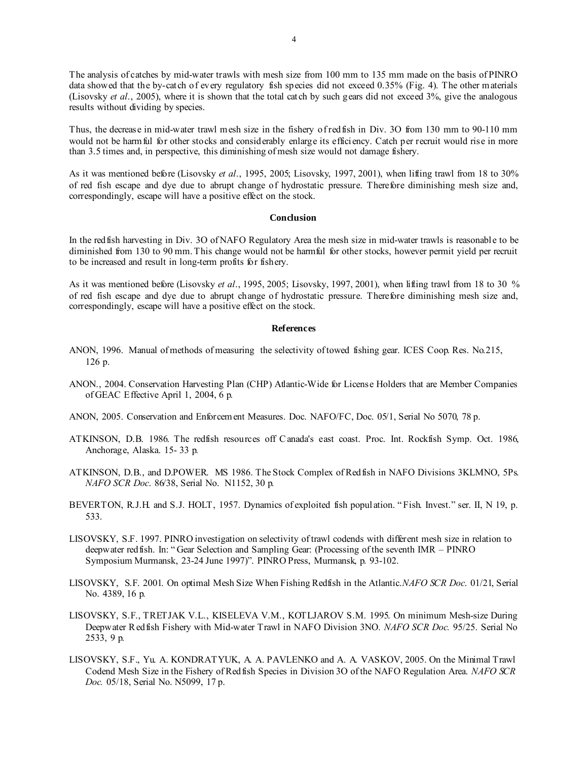The analysis of catches by mid-water trawls with mesh size from 100 mm to 135 mm made on the basis of PINRO data showed that the by-catch of every regulatory fish species did not exceed 0.35% (Fig. 4). The other materials (Lisovsky *et al*., 2005), where it is shown that the total catch by such gears did not exceed 3%, give the analogous results without dividing by species.

Thus, the decrease in mid-water trawl mesh size in the fishery of redfish in Div. 3O from 130 mm to 90-110 mm would not be harm ful for other stocks and considerably enlarge its efficiency. Catch per recruit would rise in more than 3.5 times and, in perspective, this diminishing of mesh size would not damage fishery.

As it was mentioned before (Lisovsky *et al*., 1995, 2005; Lisovsky, 1997, 2001), when lifting trawl from 18 to 30% of red fish escape and dye due to abrupt change of hydrostatic pressure. Therefore diminishing mesh size and, correspondingly, escape will have a positive effect on the stock.

#### **Conclusion**

In the redfish harvesting in Div. 3O of NAFO Regulatory Area the mesh size in mid-water trawls is reasonable to be diminished from 130 to 90 mm. This change would not be harmful for other stocks, however permit yield per recruit to be increased and result in long-term profits for fishery.

As it was mentioned before (Lisovsky *et al*., 1995, 2005; Lisovsky, 1997, 2001), when lifting trawl from 18 to 30 % of red fish escape and dye due to abrupt change of hydrostatic pressure. Therefore diminishing mesh size and, correspondingly, escape will have a positive effect on the stock.

### **References**

- ANON, 1996. Manual of methods of measuring the selectivity of towed fishing gear. ICES Coop. Res. No.215, 126 p.
- ANON., 2004. Conservation Harvesting Plan (CHP) Atlantic-Wide for License Holders that are Member Companies of GEAC Effective April 1, 2004, 6 p.
- ANON, 2005. Conservation and Enforcement Measures. Doc. NAFO/FC, Doc. 05/1, Serial No 5070, 78 p.
- ATKINSON, D.B. 1986. The redfish resources off C anada's east coast. Proc. Int. Rockfish Symp. Oct. 1986, Anchorage, Alaska. 15- 33 p.
- ATKINSON, D.B., and D.POWER. MS 1986. The Stock Complex of Redfish in NAFO Divisions 3KLMNO, 5Ps. *NAFO SCR Doc*. 86/38, Serial No. N1152, 30 p.
- BEVERTON, R.J.H. and S.J. HOLT, 1957. Dynamics of exploited fish population. " Fish. Invest." ser. II, N 19, p. 533.
- LISOVSKY, S.F. 1997. PINRO investigation on selectivity of trawl codends with different mesh size in relation to deepwater redfish. In: " Gear Selection and Sampling Gear: (Processing of the seventh IMR – PINRO Symposium Murmansk, 23-24 June 1997)". PINRO Press, Murmansk, p. 93-102.
- LISOVSKY, S.F. 2001. On optimal Mesh Size When Fishing Redfish in the Atlantic.*NAFO SCR Doc*. 01/21, Serial No. 4389, 16 p.
- LISOVSKY, S.F., TRETJAK V.L., KISELEVA V.M., KOTLJAROV S.M. 1995. On minimum Mesh-size During Deepwater R edfish Fishery with Mid-water Trawl in NAFO Division 3NO. *NAFO SCR Doc.* 95/25. Serial No 2533, 9 p.
- LISOVSKY, S.F., Yu. A. KONDRATYUK, A. A. PAVLENKO and A. A. VASKOV, 2005. On the Minimal Trawl Codend Mesh Size in the Fishery of Redfish Species in Division 3O of the NAFO Regulation Area. *NAFO SCR Doc.* 05/18, Serial No. N5099, 17 р.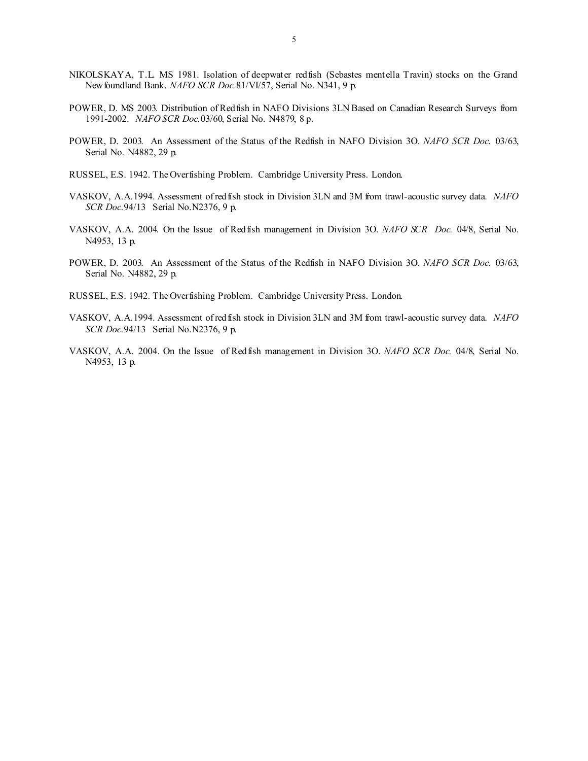- NIKOLSKAYA, T.L. MS 1981. Isolation of deepwater redfish (Sebastes mentella Travin) stocks on the Grand Newfoundland Bank. *NAFO SCR Doc.*81/VI/57, Serial No. N341, 9 p.
- POWER, D. MS 2003. Distribution of Redfish in NAFO Divisions 3LN Based on Canadian Research Surveys from 1991-2002. *NAFO SCR Doc.*03/60, Serial No. N4879, 8 p.
- POWER, D. 2003. An Assessment of the Status of the Redfish in NAFO Division 3O. *NAFO SCR Doc.* 03/63, Serial No. N4882, 29 p.
- RUSSEL, E.S. 1942. The Overfishing Problem.Cambridge University Press. London.
- VASKOV, A.A.1994. Assessment of redfish stock in Division 3LN and 3M from trawl-acoustic survey data. *NAFO SCR Doc*.94/13 Serial No.N2376, 9 p.
- VASKOV, A.A. 2004. On the Issue of Redfish management in Division 3O. *NAFO SCR Doc.* 04/8, Serial No. N4953, 13 p.
- POWER, D. 2003. An Assessment of the Status of the Redfish in NAFO Division 3O. *NAFO SCR Doc.* 03/63, Serial No. N4882, 29 p.
- RUSSEL, E.S. 1942. The Overfishing Problem.Cambridge University Press. London.
- VASKOV, A.A.1994. Assessment of redfish stock in Division 3LN and 3M from trawl-acoustic survey data. *NAFO SCR Doc*.94/13 Serial No.N2376, 9 p.
- VASKOV, A.A. 2004. On the Issue of Redfish management in Division 3O. *NAFO SCR Doc.* 04/8, Serial No. N4953, 13 p.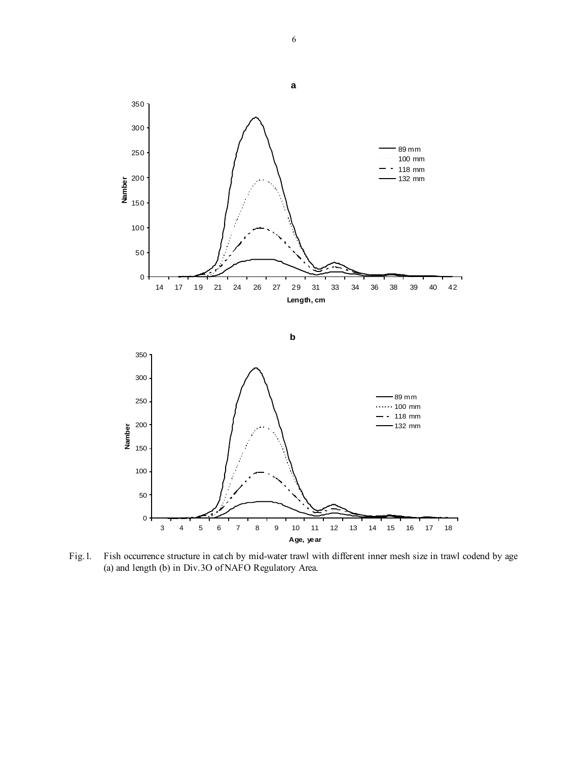

Fig.1. Fish occurrence structure in catch by mid-water trawl with different inner mesh size in trawl codend by age (a) and length (b) in Div.3O of NAFO Regulatory Area.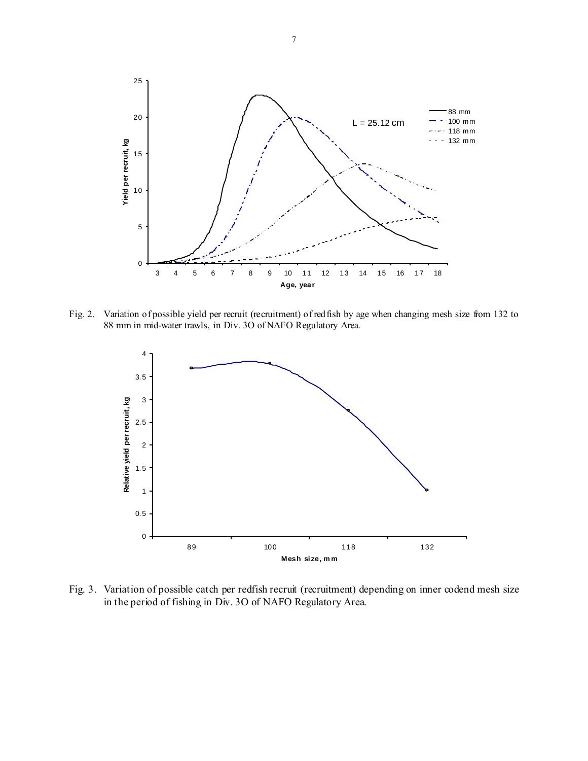

Fig. 2. Variation of possible yield per recruit (recruitment) of redfish by age when changing mesh size from 132 to 88 mm in mid-water trawls, in Div. 3O of NAFO Regulatory Area.



Fig. 3. Variation of possible catch per redfish recruit (recruitment) depending on inner codend mesh size in the period of fishing in Div. 3O of NAFO Regulatory Area.